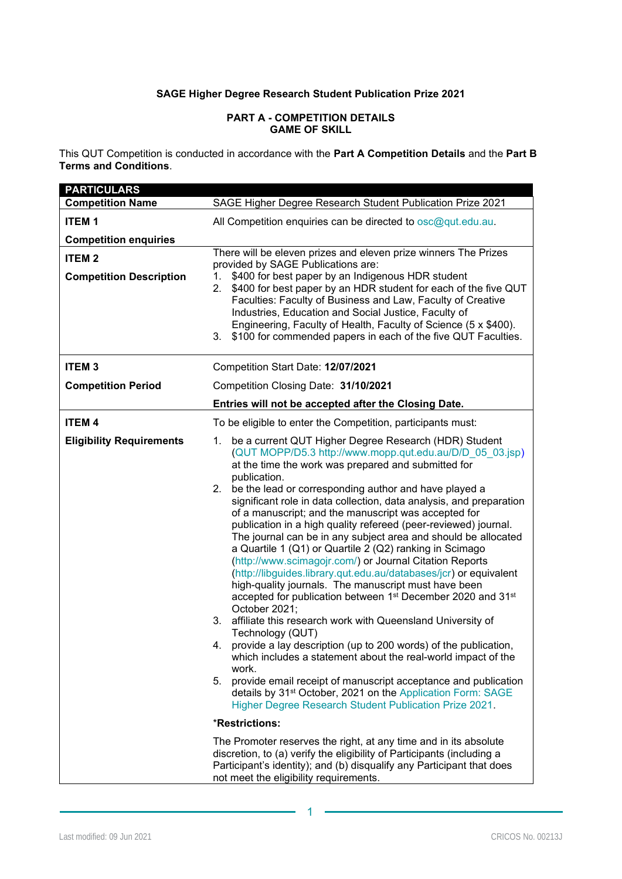## **SAGE Higher Degree Research Student Publication Prize 2021**

#### **PART A - COMPETITION DETAILS GAME OF SKILL**

This QUT Competition is conducted in accordance with the **Part A Competition Details** and the **Part B Terms and Conditions**.

| <b>PARTICULARS</b>              |                                                                                                                                                                                                                                                                                                                                                                                                                                                                                                                                                                                                                                                                                                                                                                                                                                                                                                                                                                                                                                                                                                                                                                                                                                                                                                                                                                                                                                                                                                                   |
|---------------------------------|-------------------------------------------------------------------------------------------------------------------------------------------------------------------------------------------------------------------------------------------------------------------------------------------------------------------------------------------------------------------------------------------------------------------------------------------------------------------------------------------------------------------------------------------------------------------------------------------------------------------------------------------------------------------------------------------------------------------------------------------------------------------------------------------------------------------------------------------------------------------------------------------------------------------------------------------------------------------------------------------------------------------------------------------------------------------------------------------------------------------------------------------------------------------------------------------------------------------------------------------------------------------------------------------------------------------------------------------------------------------------------------------------------------------------------------------------------------------------------------------------------------------|
| <b>Competition Name</b>         | SAGE Higher Degree Research Student Publication Prize 2021                                                                                                                                                                                                                                                                                                                                                                                                                                                                                                                                                                                                                                                                                                                                                                                                                                                                                                                                                                                                                                                                                                                                                                                                                                                                                                                                                                                                                                                        |
| <b>ITEM1</b>                    | All Competition enquiries can be directed to osc@qut.edu.au.                                                                                                                                                                                                                                                                                                                                                                                                                                                                                                                                                                                                                                                                                                                                                                                                                                                                                                                                                                                                                                                                                                                                                                                                                                                                                                                                                                                                                                                      |
| <b>Competition enquiries</b>    |                                                                                                                                                                                                                                                                                                                                                                                                                                                                                                                                                                                                                                                                                                                                                                                                                                                                                                                                                                                                                                                                                                                                                                                                                                                                                                                                                                                                                                                                                                                   |
| <b>ITEM2</b>                    | There will be eleven prizes and eleven prize winners The Prizes                                                                                                                                                                                                                                                                                                                                                                                                                                                                                                                                                                                                                                                                                                                                                                                                                                                                                                                                                                                                                                                                                                                                                                                                                                                                                                                                                                                                                                                   |
| <b>Competition Description</b>  | provided by SAGE Publications are:<br>1. \$400 for best paper by an Indigenous HDR student<br>2. \$400 for best paper by an HDR student for each of the five QUT<br>Faculties: Faculty of Business and Law, Faculty of Creative<br>Industries, Education and Social Justice, Faculty of<br>Engineering, Faculty of Health, Faculty of Science (5 x \$400).<br>3. \$100 for commended papers in each of the five QUT Faculties.                                                                                                                                                                                                                                                                                                                                                                                                                                                                                                                                                                                                                                                                                                                                                                                                                                                                                                                                                                                                                                                                                    |
| <b>ITEM3</b>                    | Competition Start Date: 12/07/2021                                                                                                                                                                                                                                                                                                                                                                                                                                                                                                                                                                                                                                                                                                                                                                                                                                                                                                                                                                                                                                                                                                                                                                                                                                                                                                                                                                                                                                                                                |
| <b>Competition Period</b>       | Competition Closing Date: 31/10/2021                                                                                                                                                                                                                                                                                                                                                                                                                                                                                                                                                                                                                                                                                                                                                                                                                                                                                                                                                                                                                                                                                                                                                                                                                                                                                                                                                                                                                                                                              |
|                                 | Entries will not be accepted after the Closing Date.                                                                                                                                                                                                                                                                                                                                                                                                                                                                                                                                                                                                                                                                                                                                                                                                                                                                                                                                                                                                                                                                                                                                                                                                                                                                                                                                                                                                                                                              |
| <b>ITEM4</b>                    | To be eligible to enter the Competition, participants must:                                                                                                                                                                                                                                                                                                                                                                                                                                                                                                                                                                                                                                                                                                                                                                                                                                                                                                                                                                                                                                                                                                                                                                                                                                                                                                                                                                                                                                                       |
| <b>Eligibility Requirements</b> | be a current QUT Higher Degree Research (HDR) Student<br>1.<br>(QUT MOPP/D5.3 http://www.mopp.qut.edu.au/D/D_05_03.jsp)<br>at the time the work was prepared and submitted for<br>publication.<br>be the lead or corresponding author and have played a<br>2.<br>significant role in data collection, data analysis, and preparation<br>of a manuscript; and the manuscript was accepted for<br>publication in a high quality refereed (peer-reviewed) journal.<br>The journal can be in any subject area and should be allocated<br>a Quartile 1 (Q1) or Quartile 2 (Q2) ranking in Scimago<br>(http://www.scimagojr.com/) or Journal Citation Reports<br>(http://libguides.library.qut.edu.au/databases/jcr) or equivalent<br>high-quality journals. The manuscript must have been<br>accepted for publication between 1 <sup>st</sup> December 2020 and 31 <sup>st</sup><br>October 2021;<br>3. affiliate this research work with Queensland University of<br>Technology (QUT)<br>provide a lay description (up to 200 words) of the publication,<br>4.<br>which includes a statement about the real-world impact of the<br>work.<br>provide email receipt of manuscript acceptance and publication<br>5.<br>details by 31 <sup>st</sup> October, 2021 on the Application Form: SAGE<br>Higher Degree Research Student Publication Prize 2021.<br>*Restrictions:<br>The Promoter reserves the right, at any time and in its absolute<br>discretion, to (a) verify the eligibility of Participants (including a |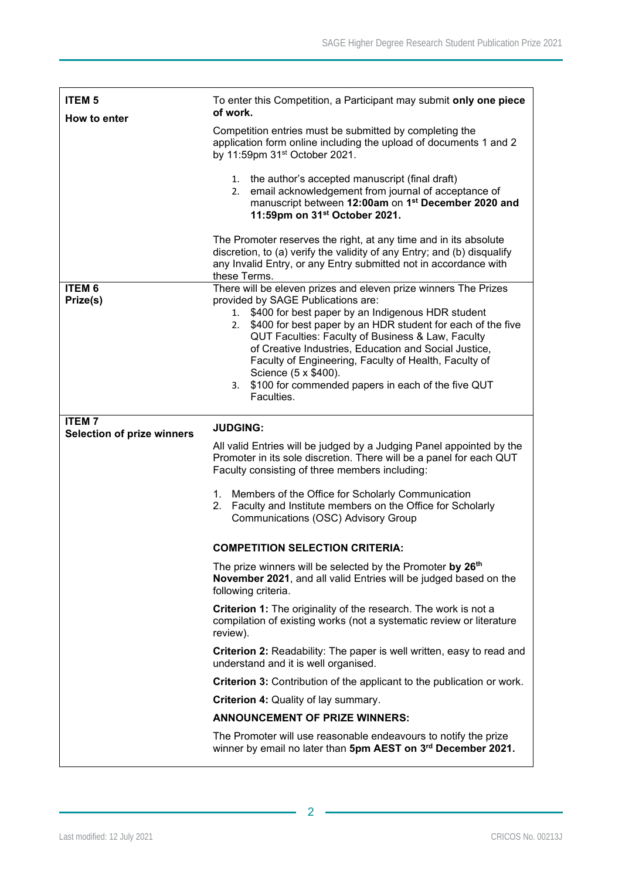| <b>ITEM 5</b><br>How to enter                     | To enter this Competition, a Participant may submit only one piece<br>of work.                                                                                                                                                                                                                                                                                                                                                                                                                              |
|---------------------------------------------------|-------------------------------------------------------------------------------------------------------------------------------------------------------------------------------------------------------------------------------------------------------------------------------------------------------------------------------------------------------------------------------------------------------------------------------------------------------------------------------------------------------------|
|                                                   | Competition entries must be submitted by completing the<br>application form online including the upload of documents 1 and 2<br>by 11:59pm 31 <sup>st</sup> October 2021.                                                                                                                                                                                                                                                                                                                                   |
|                                                   | 1. the author's accepted manuscript (final draft)<br>email acknowledgement from journal of acceptance of<br>2.<br>manuscript between 12:00am on 1 <sup>st</sup> December 2020 and<br>11:59pm on 31 <sup>st</sup> October 2021.                                                                                                                                                                                                                                                                              |
|                                                   | The Promoter reserves the right, at any time and in its absolute<br>discretion, to (a) verify the validity of any Entry; and (b) disqualify<br>any Invalid Entry, or any Entry submitted not in accordance with<br>these Terms.                                                                                                                                                                                                                                                                             |
| <b>ITEM 6</b><br>Prize(s)                         | There will be eleven prizes and eleven prize winners The Prizes<br>provided by SAGE Publications are:<br>1. \$400 for best paper by an Indigenous HDR student<br>\$400 for best paper by an HDR student for each of the five<br>2.<br>QUT Faculties: Faculty of Business & Law, Faculty<br>of Creative Industries, Education and Social Justice,<br>Faculty of Engineering, Faculty of Health, Faculty of<br>Science (5 x \$400).<br>\$100 for commended papers in each of the five QUT<br>3.<br>Faculties. |
| <b>ITEM7</b><br><b>Selection of prize winners</b> | <b>JUDGING:</b>                                                                                                                                                                                                                                                                                                                                                                                                                                                                                             |
|                                                   | All valid Entries will be judged by a Judging Panel appointed by the<br>Promoter in its sole discretion. There will be a panel for each QUT<br>Faculty consisting of three members including:                                                                                                                                                                                                                                                                                                               |
|                                                   | 1. Members of the Office for Scholarly Communication<br>2. Faculty and Institute members on the Office for Scholarly<br>Communications (OSC) Advisory Group                                                                                                                                                                                                                                                                                                                                                 |
|                                                   | <b>COMPETITION SELECTION CRITERIA:</b>                                                                                                                                                                                                                                                                                                                                                                                                                                                                      |
|                                                   | The prize winners will be selected by the Promoter by 26 <sup>th</sup><br>November 2021, and all valid Entries will be judged based on the<br>following criteria.                                                                                                                                                                                                                                                                                                                                           |
|                                                   | Criterion 1: The originality of the research. The work is not a<br>compilation of existing works (not a systematic review or literature<br>review).                                                                                                                                                                                                                                                                                                                                                         |
|                                                   | <b>Criterion 2:</b> Readability: The paper is well written, easy to read and<br>understand and it is well organised.                                                                                                                                                                                                                                                                                                                                                                                        |
|                                                   | <b>Criterion 3:</b> Contribution of the applicant to the publication or work.                                                                                                                                                                                                                                                                                                                                                                                                                               |
|                                                   | <b>Criterion 4: Quality of lay summary.</b>                                                                                                                                                                                                                                                                                                                                                                                                                                                                 |
|                                                   |                                                                                                                                                                                                                                                                                                                                                                                                                                                                                                             |
|                                                   | <b>ANNOUNCEMENT OF PRIZE WINNERS:</b><br>The Promoter will use reasonable endeavours to notify the prize                                                                                                                                                                                                                                                                                                                                                                                                    |

-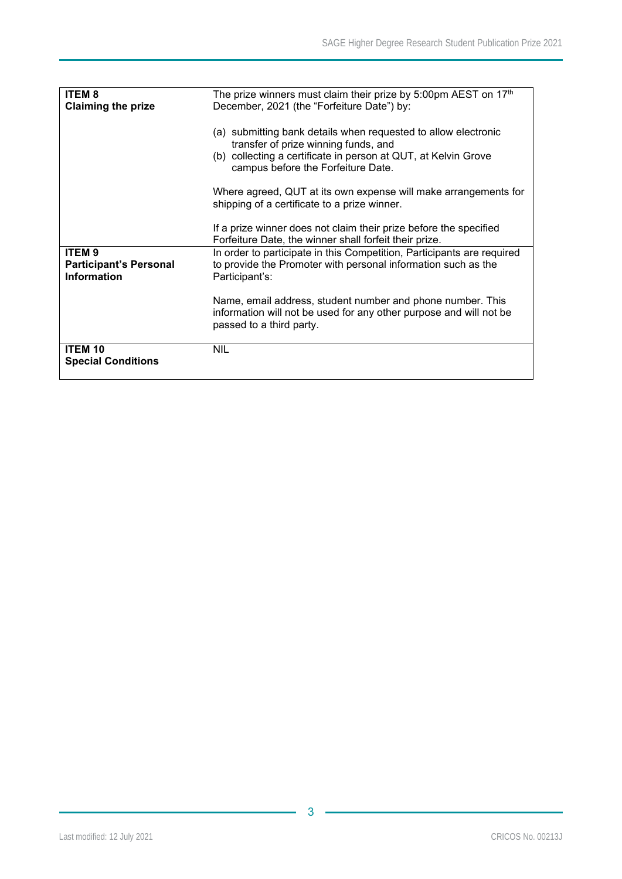| <b>ITEM8</b><br><b>Claiming the prize</b>           | The prize winners must claim their prize by 5:00pm AEST on 17th<br>December, 2021 (the "Forfeiture Date") by:                                                |
|-----------------------------------------------------|--------------------------------------------------------------------------------------------------------------------------------------------------------------|
|                                                     |                                                                                                                                                              |
|                                                     | (a) submitting bank details when requested to allow electronic<br>transfer of prize winning funds, and                                                       |
|                                                     | (b) collecting a certificate in person at QUT, at Kelvin Grove<br>campus before the Forfeiture Date.                                                         |
|                                                     | Where agreed, QUT at its own expense will make arrangements for<br>shipping of a certificate to a prize winner.                                              |
|                                                     | If a prize winner does not claim their prize before the specified<br>Forfeiture Date, the winner shall forfeit their prize.                                  |
| <b>ITEM9</b>                                        | In order to participate in this Competition, Participants are required                                                                                       |
| <b>Participant's Personal</b><br><b>Information</b> | to provide the Promoter with personal information such as the<br>Participant's:                                                                              |
|                                                     | Name, email address, student number and phone number. This<br>information will not be used for any other purpose and will not be<br>passed to a third party. |
| <b>ITEM 10</b><br><b>Special Conditions</b>         | <b>NIL</b>                                                                                                                                                   |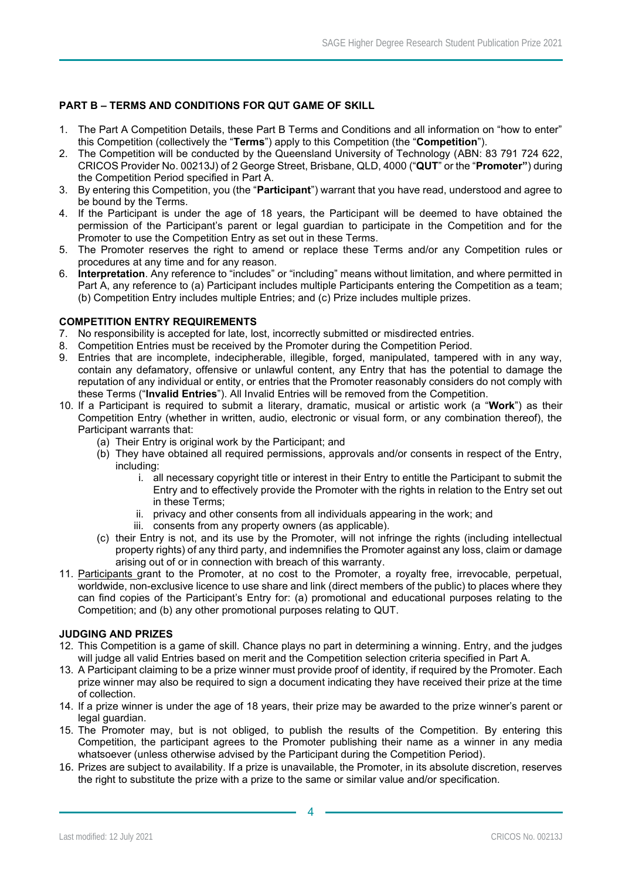# **PART B – TERMS AND CONDITIONS FOR QUT GAME OF SKILL**

- 1. The Part A Competition Details, these Part B Terms and Conditions and all information on "how to enter" this Competition (collectively the "**Terms**") apply to this Competition (the "**Competition**").
- 2. The Competition will be conducted by the Queensland University of Technology (ABN: 83 791 724 622, CRICOS Provider No. 00213J) of 2 George Street, Brisbane, QLD, 4000 ("**QUT**" or the "**Promoter"**) during the Competition Period specified in Part A.
- 3. By entering this Competition, you (the "**Participant**") warrant that you have read, understood and agree to be bound by the Terms.
- 4. If the Participant is under the age of 18 years, the Participant will be deemed to have obtained the permission of the Participant's parent or legal guardian to participate in the Competition and for the Promoter to use the Competition Entry as set out in these Terms.
- 5. The Promoter reserves the right to amend or replace these Terms and/or any Competition rules or procedures at any time and for any reason.
- 6. **Interpretation**. Any reference to "includes" or "including" means without limitation, and where permitted in Part A, any reference to (a) Participant includes multiple Participants entering the Competition as a team; (b) Competition Entry includes multiple Entries; and (c) Prize includes multiple prizes.

### **COMPETITION ENTRY REQUIREMENTS**

- 7. No responsibility is accepted for late, lost, incorrectly submitted or misdirected entries.
- 8. Competition Entries must be received by the Promoter during the Competition Period.
- 9. Entries that are incomplete, indecipherable, illegible, forged, manipulated, tampered with in any way, contain any defamatory, offensive or unlawful content, any Entry that has the potential to damage the reputation of any individual or entity, or entries that the Promoter reasonably considers do not comply with these Terms ("**Invalid Entries**"). All Invalid Entries will be removed from the Competition.
- 10. If a Participant is required to submit a literary, dramatic, musical or artistic work (a "**Work**") as their Competition Entry (whether in written, audio, electronic or visual form, or any combination thereof), the Participant warrants that:
	- (a) Their Entry is original work by the Participant; and
	- (b) They have obtained all required permissions, approvals and/or consents in respect of the Entry, including:
		- i. all necessary copyright title or interest in their Entry to entitle the Participant to submit the Entry and to effectively provide the Promoter with the rights in relation to the Entry set out in these Terms;
		- ii. privacy and other consents from all individuals appearing in the work; and
		- iii. consents from any property owners (as applicable).
	- (c) their Entry is not, and its use by the Promoter, will not infringe the rights (including intellectual property rights) of any third party, and indemnifies the Promoter against any loss, claim or damage arising out of or in connection with breach of this warranty.
- 11. Participants grant to the Promoter, at no cost to the Promoter, a royalty free, irrevocable, perpetual, worldwide, non-exclusive licence to use share and link (direct members of the public) to places where they can find copies of the Participant's Entry for: (a) promotional and educational purposes relating to the Competition; and (b) any other promotional purposes relating to QUT.

#### **JUDGING AND PRIZES**

- 12. This Competition is a game of skill. Chance plays no part in determining a winning. Entry, and the judges will judge all valid Entries based on merit and the Competition selection criteria specified in Part A.
- 13. A Participant claiming to be a prize winner must provide proof of identity, if required by the Promoter. Each prize winner may also be required to sign a document indicating they have received their prize at the time of collection.
- 14. If a prize winner is under the age of 18 years, their prize may be awarded to the prize winner's parent or legal guardian.
- 15. The Promoter may, but is not obliged, to publish the results of the Competition. By entering this Competition, the participant agrees to the Promoter publishing their name as a winner in any media whatsoever (unless otherwise advised by the Participant during the Competition Period).
- 16. Prizes are subject to availability. If a prize is unavailable, the Promoter, in its absolute discretion, reserves the right to substitute the prize with a prize to the same or similar value and/or specification.